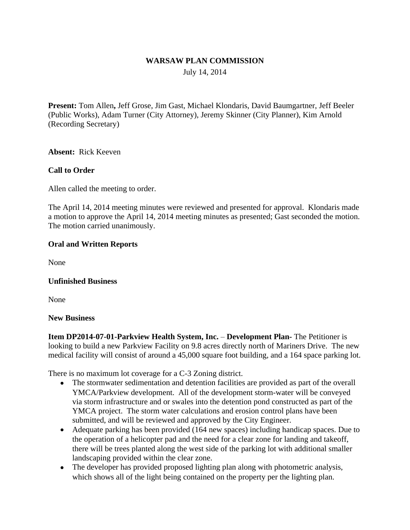### **WARSAW PLAN COMMISSION**

July 14, 2014

**Present:** Tom Allen**,** Jeff Grose, Jim Gast, Michael Klondaris, David Baumgartner, Jeff Beeler (Public Works), Adam Turner (City Attorney), Jeremy Skinner (City Planner), Kim Arnold (Recording Secretary)

**Absent:** Rick Keeven

## **Call to Order**

Allen called the meeting to order.

The April 14, 2014 meeting minutes were reviewed and presented for approval. Klondaris made a motion to approve the April 14, 2014 meeting minutes as presented; Gast seconded the motion. The motion carried unanimously.

## **Oral and Written Reports**

None

#### **Unfinished Business**

None

#### **New Business**

**Item DP2014-07-01-Parkview Health System, Inc. – Development Plan-The Petitioner is** looking to build a new Parkview Facility on 9.8 acres directly north of Mariners Drive. The new medical facility will consist of around a 45,000 square foot building, and a 164 space parking lot.

There is no maximum lot coverage for a C-3 Zoning district.

- The stormwater sedimentation and detention facilities are provided as part of the overall YMCA/Parkview development. All of the development storm-water will be conveyed via storm infrastructure and or swales into the detention pond constructed as part of the YMCA project. The storm water calculations and erosion control plans have been submitted, and will be reviewed and approved by the City Engineer.
- Adequate parking has been provided (164 new spaces) including handicap spaces. Due to the operation of a helicopter pad and the need for a clear zone for landing and takeoff, there will be trees planted along the west side of the parking lot with additional smaller landscaping provided within the clear zone.
- The developer has provided proposed lighting plan along with photometric analysis, which shows all of the light being contained on the property per the lighting plan.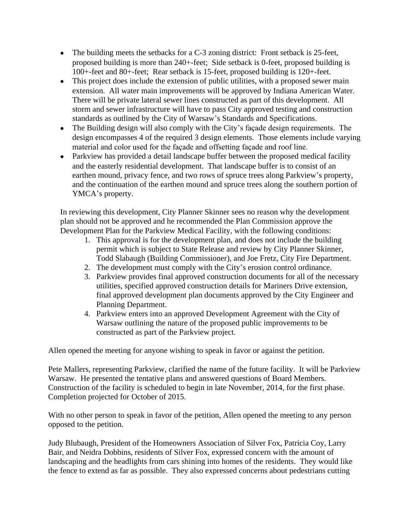- The building meets the setbacks for a C-3 zoning district: Front setback is 25-feet, proposed building is more than 240+-feet; Side setback is 0-feet, proposed building is 100+-feet and 80+-feet; Rear setback is 15-feet, proposed building is 120+-feet.
- This project does include the extension of public utilities, with a proposed sewer main extension. All water main improvements will be approved by Indiana American Water. There will be private lateral sewer lines constructed as part of this development. All storm and sewer infrastructure will have to pass City approved testing and construction standards as outlined by the City of Warsaw's Standards and Specifications.
- The Building design will also comply with the City's façade design requirements. The design encompasses 4 of the required 3 design elements. Those elements include varying material and color used for the façade and offsetting façade and roof line.
- Parkview has provided a detail landscape buffer between the proposed medical facility and the easterly residential development. That landscape buffer is to consist of an earthen mound, privacy fence, and two rows of spruce trees along Parkview's property, and the continuation of the earthen mound and spruce trees along the southern portion of YMCA's property.

In reviewing this development, City Planner Skinner sees no reason why the development plan should not be approved and he recommended the Plan Commission approve the Development Plan for the Parkview Medical Facility, with the following conditions:

- 1. This approval is for the development plan, and does not include the building permit which is subject to State Release and review by City Planner Skinner, Todd Slabaugh (Building Commissioner), and Joe Fretz, City Fire Department.
- 2. The development must comply with the City's erosion control ordinance.
- 3. Parkview provides final approved construction documents for all of the necessary utilities, specified approved construction details for Mariners Drive extension, final approved development plan documents approved by the City Engineer and Planning Department.
- 4. Parkview enters into an approved Development Agreement with the City of Warsaw outlining the nature of the proposed public improvements to be constructed as part of the Parkview project.

Allen opened the meeting for anyone wishing to speak in favor or against the petition.

Pete Mallers, representing Parkview, clarified the name of the future facility. It will be Parkview Warsaw. He presented the tentative plans and answered questions of Board Members. Construction of the facility is scheduled to begin in late November, 2014, for the first phase. Completion projected for October of 2015.

With no other person to speak in favor of the petition, Allen opened the meeting to any person opposed to the petition.

Judy Blubaugh, President of the Homeowners Association of Silver Fox, Patricia Coy, Larry Bair, and Neidra Dobbins, residents of Silver Fox, expressed concern with the amount of landscaping and the headlights from cars shining into homes of the residents. They would like the fence to extend as far as possible. They also expressed concerns about pedestrians cutting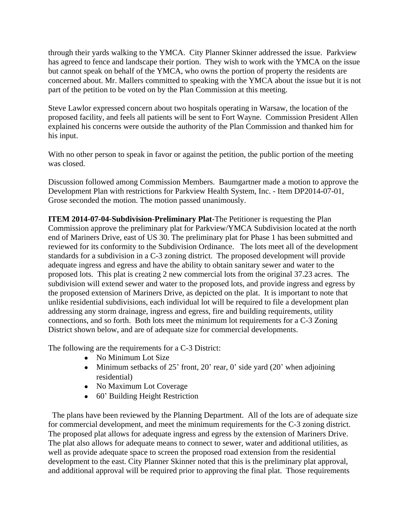through their yards walking to the YMCA. City Planner Skinner addressed the issue. Parkview has agreed to fence and landscape their portion. They wish to work with the YMCA on the issue but cannot speak on behalf of the YMCA, who owns the portion of property the residents are concerned about. Mr. Mallers committed to speaking with the YMCA about the issue but it is not part of the petition to be voted on by the Plan Commission at this meeting.

Steve Lawlor expressed concern about two hospitals operating in Warsaw, the location of the proposed facility, and feels all patients will be sent to Fort Wayne. Commission President Allen explained his concerns were outside the authority of the Plan Commission and thanked him for his input.

With no other person to speak in favor or against the petition, the public portion of the meeting was closed.

Discussion followed among Commission Members. Baumgartner made a motion to approve the Development Plan with restrictions for Parkview Health System, Inc. - Item DP2014-07-01, Grose seconded the motion. The motion passed unanimously.

**ITEM 2014-07-04**-**Subdivision**-**Preliminary Plat**-The Petitioner is requesting the Plan Commission approve the preliminary plat for Parkview/YMCA Subdivision located at the north end of Mariners Drive, east of US 30. The preliminary plat for Phase 1 has been submitted and reviewed for its conformity to the Subdivision Ordinance. The lots meet all of the development standards for a subdivision in a C-3 zoning district. The proposed development will provide adequate ingress and egress and have the ability to obtain sanitary sewer and water to the proposed lots. This plat is creating 2 new commercial lots from the original 37.23 acres. The subdivision will extend sewer and water to the proposed lots, and provide ingress and egress by the proposed extension of Mariners Drive, as depicted on the plat. It is important to note that unlike residential subdivisions, each individual lot will be required to file a development plan addressing any storm drainage, ingress and egress, fire and building requirements, utility connections, and so forth. Both lots meet the minimum lot requirements for a C-3 Zoning District shown below, and are of adequate size for commercial developments.

The following are the requirements for a C-3 District:

- No Minimum Lot Size
- Minimum setbacks of 25' front, 20' rear, 0' side yard  $(20)$ ' when adjoining residential)
- No Maximum Lot Coverage
- 60' Building Height Restriction

 The plans have been reviewed by the Planning Department. All of the lots are of adequate size for commercial development, and meet the minimum requirements for the C-3 zoning district. The proposed plat allows for adequate ingress and egress by the extension of Mariners Drive. The plat also allows for adequate means to connect to sewer, water and additional utilities, as well as provide adequate space to screen the proposed road extension from the residential development to the east. City Planner Skinner noted that this is the preliminary plat approval, and additional approval will be required prior to approving the final plat. Those requirements